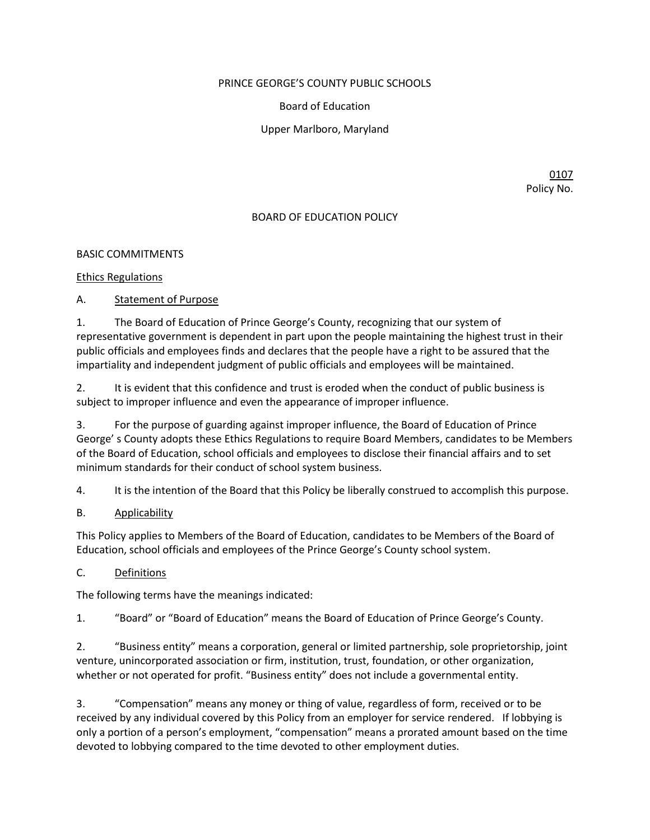### PRINCE GEORGE'S COUNTY PUBLIC SCHOOLS

Board of Education

Upper Marlboro, Maryland

0107 Policy No.

## BOARD OF EDUCATION POLICY

## BASIC COMMITMENTS

## Ethics Regulations

A. Statement of Purpose

1. The Board of Education of Prince George's County, recognizing that our system of representative government is dependent in part upon the people maintaining the highest trust in their public officials and employees finds and declares that the people have a right to be assured that the impartiality and independent judgment of public officials and employees will be maintained.

2. It is evident that this confidence and trust is eroded when the conduct of public business is subject to improper influence and even the appearance of improper influence.

3. For the purpose of guarding against improper influence, the Board of Education of Prince George' s County adopts these Ethics Regulations to require Board Members, candidates to be Members of the Board of Education, school officials and employees to disclose their financial affairs and to set minimum standards for their conduct of school system business.

4. It is the intention of the Board that this Policy be liberally construed to accomplish this purpose.

## B. Applicability

This Policy applies to Members of the Board of Education, candidates to be Members of the Board of Education, school officials and employees of the Prince George's County school system.

## C. Definitions

The following terms have the meanings indicated:

1. "Board" or "Board of Education" means the Board of Education of Prince George's County.

2. "Business entity" means a corporation, general or limited partnership, sole proprietorship, joint venture, unincorporated association or firm, institution, trust, foundation, or other organization, whether or not operated for profit. "Business entity" does not include a governmental entity.

3. "Compensation" means any money or thing of value, regardless of form, received or to be received by any individual covered by this Policy from an employer for service rendered. If lobbying is only a portion of a person's employment, "compensation" means a prorated amount based on the time devoted to lobbying compared to the time devoted to other employment duties.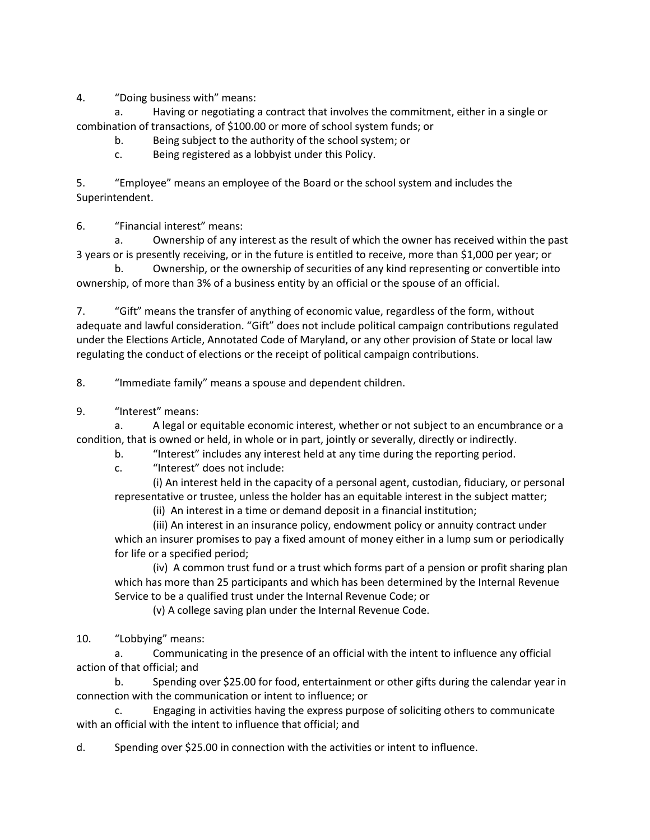4. "Doing business with" means:

a. Having or negotiating a contract that involves the commitment, either in a single or combination of transactions, of \$100.00 or more of school system funds; or

b. Being subject to the authority of the school system; or

c. Being registered as a lobbyist under this Policy.

5. "Employee" means an employee of the Board or the school system and includes the Superintendent.

6. "Financial interest" means:

a. Ownership of any interest as the result of which the owner has received within the past 3 years or is presently receiving, or in the future is entitled to receive, more than \$1,000 per year; or

b. Ownership, or the ownership of securities of any kind representing or convertible into ownership, of more than 3% of a business entity by an official or the spouse of an official.

7. "Gift" means the transfer of anything of economic value, regardless of the form, without adequate and lawful consideration. "Gift" does not include political campaign contributions regulated under the Elections Article, Annotated Code of Maryland, or any other provision of State or local law regulating the conduct of elections or the receipt of political campaign contributions.

8. "Immediate family" means a spouse and dependent children.

9. "Interest" means:

a. A legal or equitable economic interest, whether or not subject to an encumbrance or a condition, that is owned or held, in whole or in part, jointly or severally, directly or indirectly.

b. "Interest" includes any interest held at any time during the reporting period.

c. "Interest" does not include:

(i) An interest held in the capacity of a personal agent, custodian, fiduciary, or personal representative or trustee, unless the holder has an equitable interest in the subject matter;

(ii) An interest in a time or demand deposit in a financial institution;

(iii) An interest in an insurance policy, endowment policy or annuity contract under which an insurer promises to pay a fixed amount of money either in a lump sum or periodically for life or a specified period;

(iv) A common trust fund or a trust which forms part of a pension or profit sharing plan which has more than 25 participants and which has been determined by the Internal Revenue Service to be a qualified trust under the Internal Revenue Code; or

(v) A college saving plan under the Internal Revenue Code.

10. "Lobbying" means:

a. Communicating in the presence of an official with the intent to influence any official action of that official; and

b. Spending over \$25.00 for food, entertainment or other gifts during the calendar year in connection with the communication or intent to influence; or

Engaging in activities having the express purpose of soliciting others to communicate with an official with the intent to influence that official; and

d. Spending over \$25.00 in connection with the activities or intent to influence.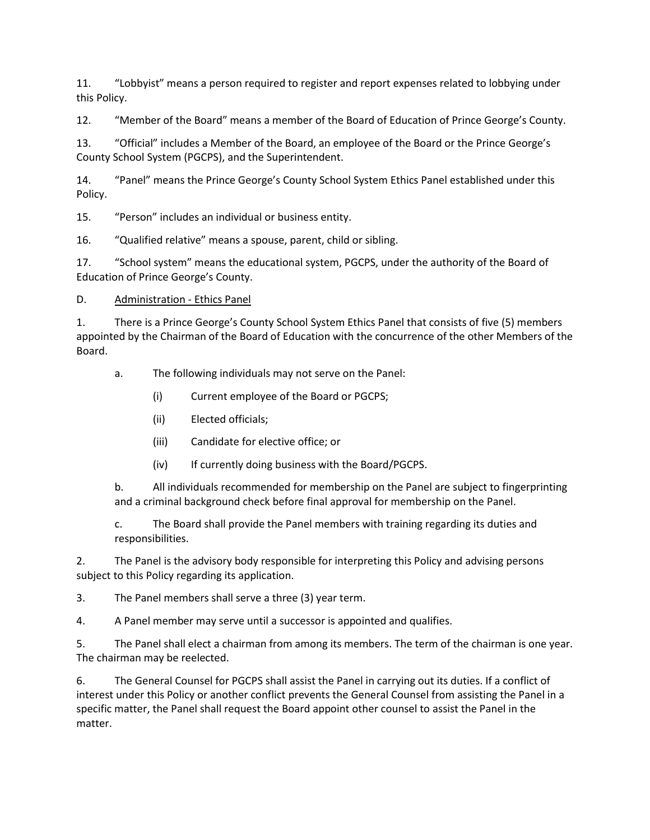11. "Lobbyist" means a person required to register and report expenses related to lobbying under this Policy.

12. "Member of the Board" means a member of the Board of Education of Prince George's County.

13. "Official" includes a Member of the Board, an employee of the Board or the Prince George's County School System (PGCPS), and the Superintendent.

14. "Panel" means the Prince George's County School System Ethics Panel established under this Policy.

15. "Person" includes an individual or business entity.

16. "Qualified relative" means a spouse, parent, child or sibling.

17. "School system" means the educational system, PGCPS, under the authority of the Board of Education of Prince George's County.

D. Administration - Ethics Panel

1. There is a Prince George's County School System Ethics Panel that consists of five (5) members appointed by the Chairman of the Board of Education with the concurrence of the other Members of the Board.

a. The following individuals may not serve on the Panel:

(i) Current employee of the Board or PGCPS;

- (ii) Elected officials;
- (iii) Candidate for elective office; or
- (iv) If currently doing business with the Board/PGCPS.

b. All individuals recommended for membership on the Panel are subject to fingerprinting and a criminal background check before final approval for membership on the Panel.

c. The Board shall provide the Panel members with training regarding its duties and responsibilities.

2. The Panel is the advisory body responsible for interpreting this Policy and advising persons subject to this Policy regarding its application.

3. The Panel members shall serve a three (3) year term.

4. A Panel member may serve until a successor is appointed and qualifies.

5. The Panel shall elect a chairman from among its members. The term of the chairman is one year. The chairman may be reelected.

6. The General Counsel for PGCPS shall assist the Panel in carrying out its duties. If a conflict of interest under this Policy or another conflict prevents the General Counsel from assisting the Panel in a specific matter, the Panel shall request the Board appoint other counsel to assist the Panel in the matter.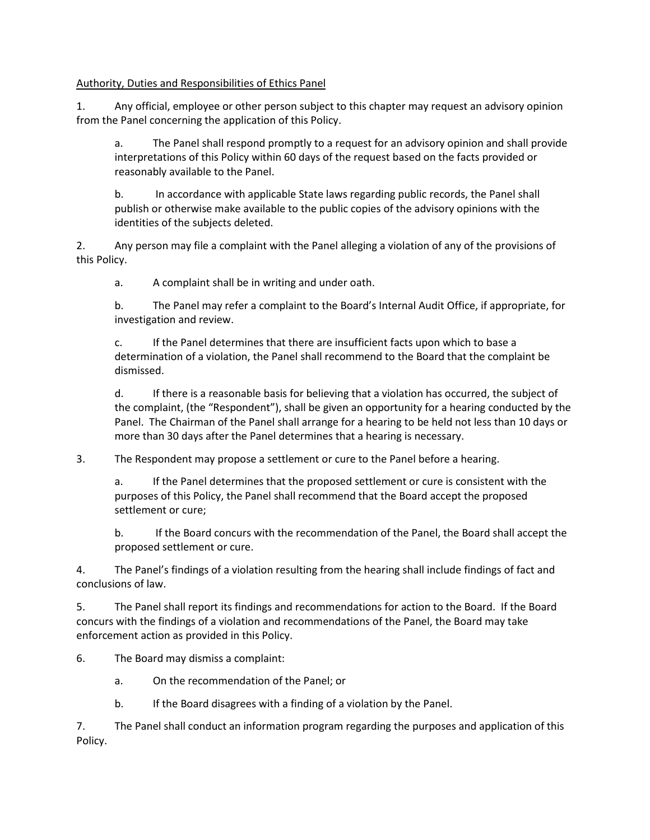### Authority, Duties and Responsibilities of Ethics Panel

1. Any official, employee or other person subject to this chapter may request an advisory opinion from the Panel concerning the application of this Policy.

a. The Panel shall respond promptly to a request for an advisory opinion and shall provide interpretations of this Policy within 60 days of the request based on the facts provided or reasonably available to the Panel.

b. In accordance with applicable State laws regarding public records, the Panel shall publish or otherwise make available to the public copies of the advisory opinions with the identities of the subjects deleted.

2. Any person may file a complaint with the Panel alleging a violation of any of the provisions of this Policy.

a. A complaint shall be in writing and under oath.

b. The Panel may refer a complaint to the Board's Internal Audit Office, if appropriate, for investigation and review.

c. If the Panel determines that there are insufficient facts upon which to base a determination of a violation, the Panel shall recommend to the Board that the complaint be dismissed.

d. If there is a reasonable basis for believing that a violation has occurred, the subject of the complaint, (the "Respondent"), shall be given an opportunity for a hearing conducted by the Panel. The Chairman of the Panel shall arrange for a hearing to be held not less than 10 days or more than 30 days after the Panel determines that a hearing is necessary.

3. The Respondent may propose a settlement or cure to the Panel before a hearing.

a. If the Panel determines that the proposed settlement or cure is consistent with the purposes of this Policy, the Panel shall recommend that the Board accept the proposed settlement or cure;

b. If the Board concurs with the recommendation of the Panel, the Board shall accept the proposed settlement or cure.

4. The Panel's findings of a violation resulting from the hearing shall include findings of fact and conclusions of law.

5. The Panel shall report its findings and recommendations for action to the Board. If the Board concurs with the findings of a violation and recommendations of the Panel, the Board may take enforcement action as provided in this Policy.

6. The Board may dismiss a complaint:

- a. On the recommendation of the Panel; or
- b. If the Board disagrees with a finding of a violation by the Panel.

7. The Panel shall conduct an information program regarding the purposes and application of this Policy.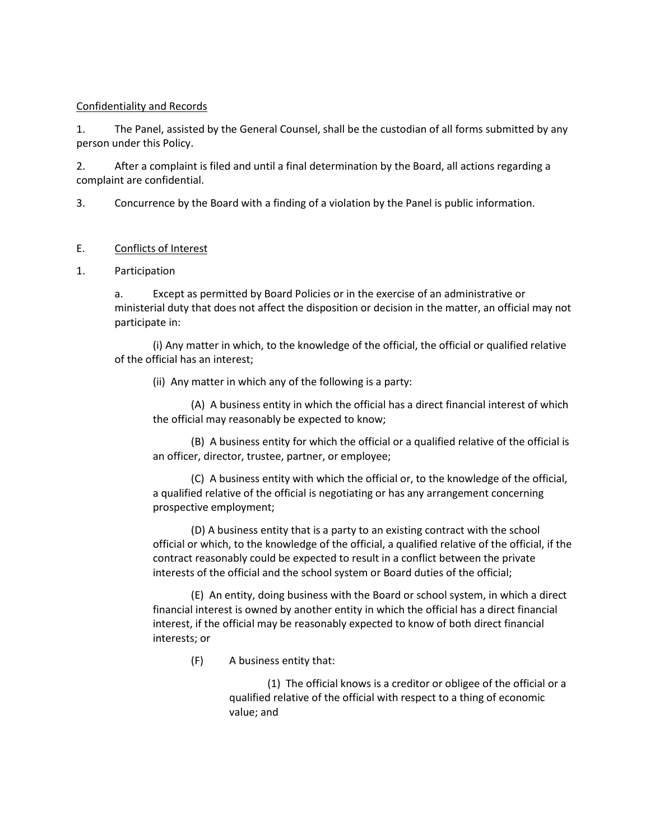#### Confidentiality and Records

1. The Panel, assisted by the General Counsel, shall be the custodian of all forms submitted by any person under this Policy.

2. After a complaint is filed and until a final determination by the Board, all actions regarding a complaint are confidential.

3. Concurrence by the Board with a finding of a violation by the Panel is public information.

### E. Conflicts of Interest

### 1. Participation

a. Except as permitted by Board Policies or in the exercise of an administrative or ministerial duty that does not affect the disposition or decision in the matter, an official may not participate in:

(i) Any matter in which, to the knowledge of the official, the official or qualified relative of the official has an interest;

(ii) Any matter in which any of the following is a party:

(A) A business entity in which the official has a direct financial interest of which the official may reasonably be expected to know;

(B) A business entity for which the official or a qualified relative of the official is an officer, director, trustee, partner, or employee;

(C) A business entity with which the official or, to the knowledge of the official, a qualified relative of the official is negotiating or has any arrangement concerning prospective employment;

(D) A business entity that is a party to an existing contract with the school official or which, to the knowledge of the official, a qualified relative of the official, if the contract reasonably could be expected to result in a conflict between the private interests of the official and the school system or Board duties of the official;

(E) An entity, doing business with the Board or school system, in which a direct financial interest is owned by another entity in which the official has a direct financial interest, if the official may be reasonably expected to know of both direct financial interests; or

(F) A business entity that:

(1) The official knows is a creditor or obligee of the official or a qualified relative of the official with respect to a thing of economic value; and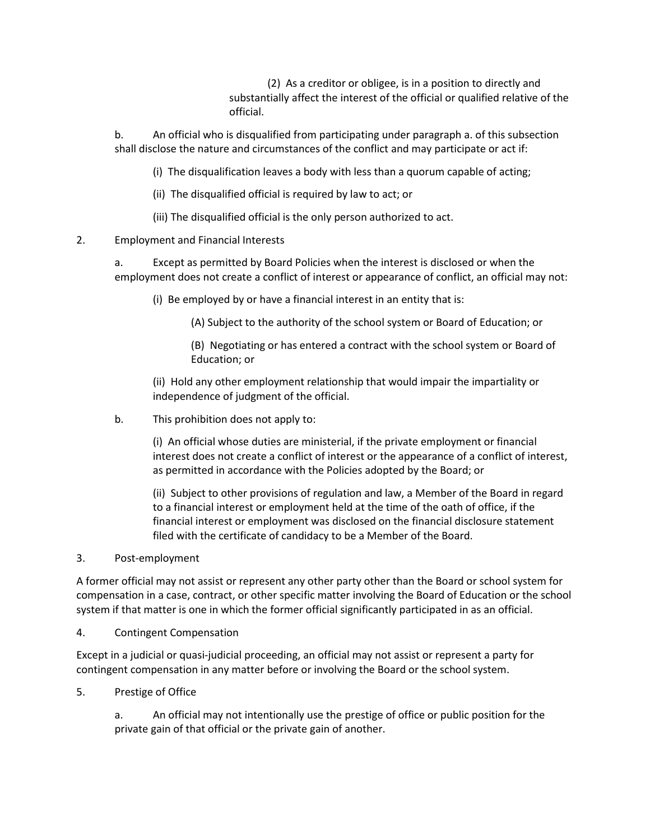(2) As a creditor or obligee, is in a position to directly and substantially affect the interest of the official or qualified relative of the official.

b. An official who is disqualified from participating under paragraph a. of this subsection shall disclose the nature and circumstances of the conflict and may participate or act if:

(i) The disqualification leaves a body with less than a quorum capable of acting;

(ii) The disqualified official is required by law to act; or

(iii) The disqualified official is the only person authorized to act.

## 2. Employment and Financial Interests

a. Except as permitted by Board Policies when the interest is disclosed or when the employment does not create a conflict of interest or appearance of conflict, an official may not:

(i) Be employed by or have a financial interest in an entity that is:

(A) Subject to the authority of the school system or Board of Education; or

(B) Negotiating or has entered a contract with the school system or Board of Education; or

(ii) Hold any other employment relationship that would impair the impartiality or independence of judgment of the official.

b. This prohibition does not apply to:

(i) An official whose duties are ministerial, if the private employment or financial interest does not create a conflict of interest or the appearance of a conflict of interest, as permitted in accordance with the Policies adopted by the Board; or

(ii) Subject to other provisions of regulation and law, a Member of the Board in regard to a financial interest or employment held at the time of the oath of office, if the financial interest or employment was disclosed on the financial disclosure statement filed with the certificate of candidacy to be a Member of the Board.

### 3. Post-employment

A former official may not assist or represent any other party other than the Board or school system for compensation in a case, contract, or other specific matter involving the Board of Education or the school system if that matter is one in which the former official significantly participated in as an official.

4. Contingent Compensation

Except in a judicial or quasi-judicial proceeding, an official may not assist or represent a party for contingent compensation in any matter before or involving the Board or the school system.

5. Prestige of Office

a. An official may not intentionally use the prestige of office or public position for the private gain of that official or the private gain of another.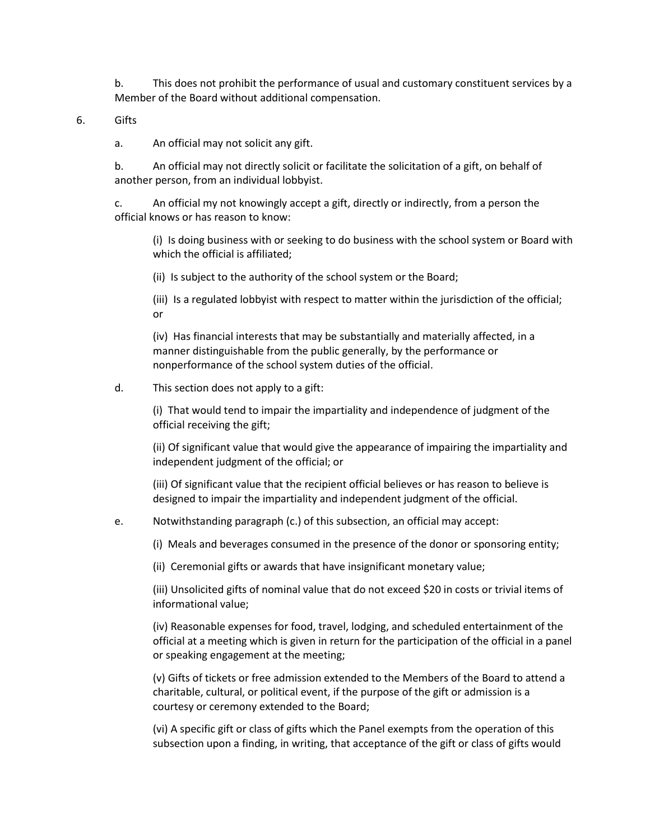b. This does not prohibit the performance of usual and customary constituent services by a Member of the Board without additional compensation.

6. Gifts

a. An official may not solicit any gift.

b. An official may not directly solicit or facilitate the solicitation of a gift, on behalf of another person, from an individual lobbyist.

c. An official my not knowingly accept a gift, directly or indirectly, from a person the official knows or has reason to know:

(i) Is doing business with or seeking to do business with the school system or Board with which the official is affiliated;

(ii) Is subject to the authority of the school system or the Board;

(iii) Is a regulated lobbyist with respect to matter within the jurisdiction of the official; or

(iv) Has financial interests that may be substantially and materially affected, in a manner distinguishable from the public generally, by the performance or nonperformance of the school system duties of the official.

#### d. This section does not apply to a gift:

(i) That would tend to impair the impartiality and independence of judgment of the official receiving the gift;

(ii) Of significant value that would give the appearance of impairing the impartiality and independent judgment of the official; or

(iii) Of significant value that the recipient official believes or has reason to believe is designed to impair the impartiality and independent judgment of the official.

#### e. Notwithstanding paragraph (c.) of this subsection, an official may accept:

(i) Meals and beverages consumed in the presence of the donor or sponsoring entity;

(ii) Ceremonial gifts or awards that have insignificant monetary value;

(iii) Unsolicited gifts of nominal value that do not exceed \$20 in costs or trivial items of informational value;

(iv) Reasonable expenses for food, travel, lodging, and scheduled entertainment of the official at a meeting which is given in return for the participation of the official in a panel or speaking engagement at the meeting;

(v) Gifts of tickets or free admission extended to the Members of the Board to attend a charitable, cultural, or political event, if the purpose of the gift or admission is a courtesy or ceremony extended to the Board;

(vi) A specific gift or class of gifts which the Panel exempts from the operation of this subsection upon a finding, in writing, that acceptance of the gift or class of gifts would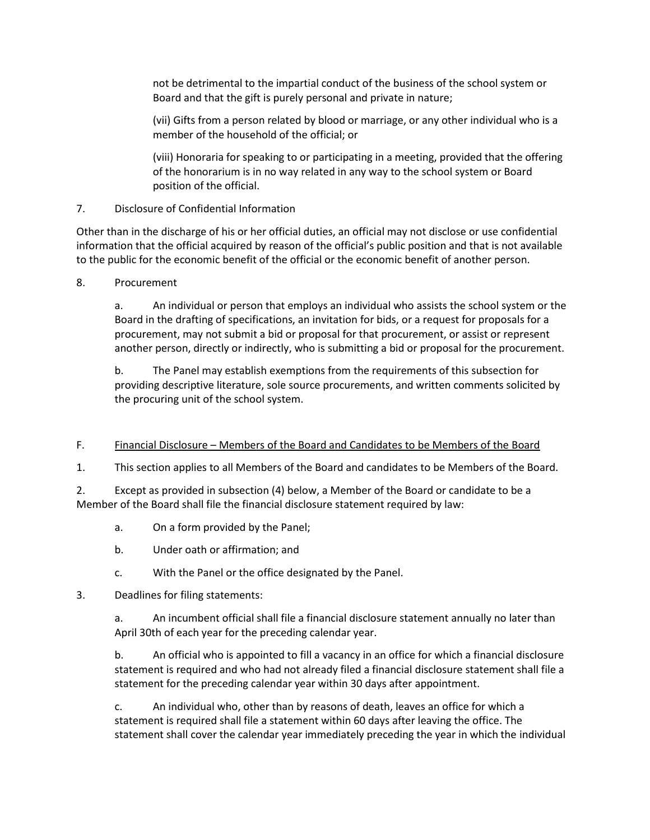not be detrimental to the impartial conduct of the business of the school system or Board and that the gift is purely personal and private in nature;

(vii) Gifts from a person related by blood or marriage, or any other individual who is a member of the household of the official; or

(viii) Honoraria for speaking to or participating in a meeting, provided that the offering of the honorarium is in no way related in any way to the school system or Board position of the official.

## 7. Disclosure of Confidential Information

Other than in the discharge of his or her official duties, an official may not disclose or use confidential information that the official acquired by reason of the official's public position and that is not available to the public for the economic benefit of the official or the economic benefit of another person.

## 8. Procurement

a. An individual or person that employs an individual who assists the school system or the Board in the drafting of specifications, an invitation for bids, or a request for proposals for a procurement, may not submit a bid or proposal for that procurement, or assist or represent another person, directly or indirectly, who is submitting a bid or proposal for the procurement.

b. The Panel may establish exemptions from the requirements of this subsection for providing descriptive literature, sole source procurements, and written comments solicited by the procuring unit of the school system.

## F. Financial Disclosure – Members of the Board and Candidates to be Members of the Board

1. This section applies to all Members of the Board and candidates to be Members of the Board.

2. Except as provided in subsection (4) below, a Member of the Board or candidate to be a Member of the Board shall file the financial disclosure statement required by law:

- a. On a form provided by the Panel;
- b. Under oath or affirmation; and
- c. With the Panel or the office designated by the Panel.
- 3. Deadlines for filing statements:

a. An incumbent official shall file a financial disclosure statement annually no later than April 30th of each year for the preceding calendar year.

b. An official who is appointed to fill a vacancy in an office for which a financial disclosure statement is required and who had not already filed a financial disclosure statement shall file a statement for the preceding calendar year within 30 days after appointment.

c. An individual who, other than by reasons of death, leaves an office for which a statement is required shall file a statement within 60 days after leaving the office. The statement shall cover the calendar year immediately preceding the year in which the individual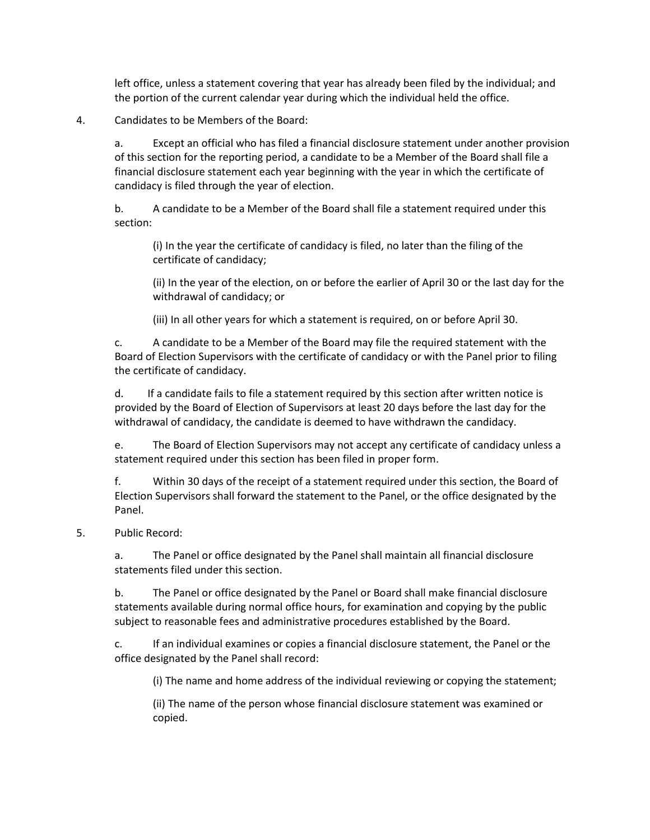left office, unless a statement covering that year has already been filed by the individual; and the portion of the current calendar year during which the individual held the office.

## 4. Candidates to be Members of the Board:

a. Except an official who has filed a financial disclosure statement under another provision of this section for the reporting period, a candidate to be a Member of the Board shall file a financial disclosure statement each year beginning with the year in which the certificate of candidacy is filed through the year of election.

b. A candidate to be a Member of the Board shall file a statement required under this section:

(i) In the year the certificate of candidacy is filed, no later than the filing of the certificate of candidacy;

(ii) In the year of the election, on or before the earlier of April 30 or the last day for the withdrawal of candidacy; or

(iii) In all other years for which a statement is required, on or before April 30.

c. A candidate to be a Member of the Board may file the required statement with the Board of Election Supervisors with the certificate of candidacy or with the Panel prior to filing the certificate of candidacy.

d. If a candidate fails to file a statement required by this section after written notice is provided by the Board of Election of Supervisors at least 20 days before the last day for the withdrawal of candidacy, the candidate is deemed to have withdrawn the candidacy.

e. The Board of Election Supervisors may not accept any certificate of candidacy unless a statement required under this section has been filed in proper form.

f. Within 30 days of the receipt of a statement required under this section, the Board of Election Supervisors shall forward the statement to the Panel, or the office designated by the Panel.

### 5. Public Record:

a. The Panel or office designated by the Panel shall maintain all financial disclosure statements filed under this section.

b. The Panel or office designated by the Panel or Board shall make financial disclosure statements available during normal office hours, for examination and copying by the public subject to reasonable fees and administrative procedures established by the Board.

c. If an individual examines or copies a financial disclosure statement, the Panel or the office designated by the Panel shall record:

(i) The name and home address of the individual reviewing or copying the statement;

(ii) The name of the person whose financial disclosure statement was examined or copied.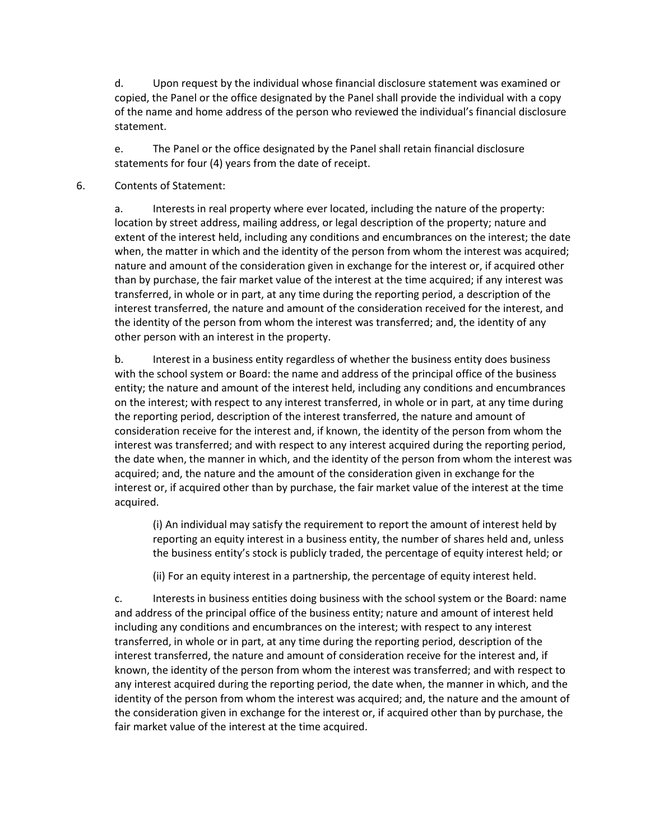d. Upon request by the individual whose financial disclosure statement was examined or copied, the Panel or the office designated by the Panel shall provide the individual with a copy of the name and home address of the person who reviewed the individual's financial disclosure statement.

e. The Panel or the office designated by the Panel shall retain financial disclosure statements for four (4) years from the date of receipt.

### 6. Contents of Statement:

a. Interests in real property where ever located, including the nature of the property: location by street address, mailing address, or legal description of the property; nature and extent of the interest held, including any conditions and encumbrances on the interest; the date when, the matter in which and the identity of the person from whom the interest was acquired; nature and amount of the consideration given in exchange for the interest or, if acquired other than by purchase, the fair market value of the interest at the time acquired; if any interest was transferred, in whole or in part, at any time during the reporting period, a description of the interest transferred, the nature and amount of the consideration received for the interest, and the identity of the person from whom the interest was transferred; and, the identity of any other person with an interest in the property.

b. Interest in a business entity regardless of whether the business entity does business with the school system or Board: the name and address of the principal office of the business entity; the nature and amount of the interest held, including any conditions and encumbrances on the interest; with respect to any interest transferred, in whole or in part, at any time during the reporting period, description of the interest transferred, the nature and amount of consideration receive for the interest and, if known, the identity of the person from whom the interest was transferred; and with respect to any interest acquired during the reporting period, the date when, the manner in which, and the identity of the person from whom the interest was acquired; and, the nature and the amount of the consideration given in exchange for the interest or, if acquired other than by purchase, the fair market value of the interest at the time acquired.

(i) An individual may satisfy the requirement to report the amount of interest held by reporting an equity interest in a business entity, the number of shares held and, unless the business entity's stock is publicly traded, the percentage of equity interest held; or

(ii) For an equity interest in a partnership, the percentage of equity interest held.

c. Interests in business entities doing business with the school system or the Board: name and address of the principal office of the business entity; nature and amount of interest held including any conditions and encumbrances on the interest; with respect to any interest transferred, in whole or in part, at any time during the reporting period, description of the interest transferred, the nature and amount of consideration receive for the interest and, if known, the identity of the person from whom the interest was transferred; and with respect to any interest acquired during the reporting period, the date when, the manner in which, and the identity of the person from whom the interest was acquired; and, the nature and the amount of the consideration given in exchange for the interest or, if acquired other than by purchase, the fair market value of the interest at the time acquired.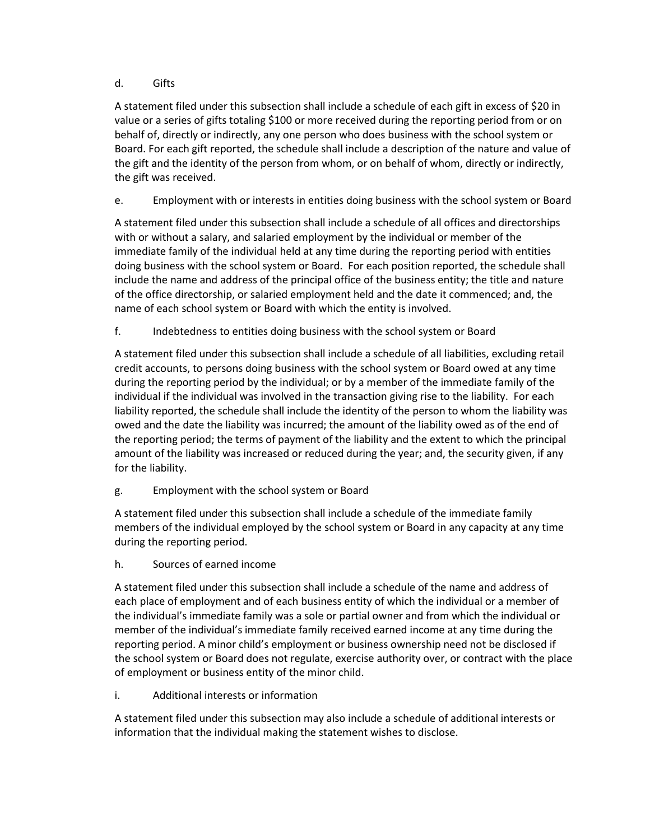## d. Gifts

A statement filed under this subsection shall include a schedule of each gift in excess of \$20 in value or a series of gifts totaling \$100 or more received during the reporting period from or on behalf of, directly or indirectly, any one person who does business with the school system or Board. For each gift reported, the schedule shall include a description of the nature and value of the gift and the identity of the person from whom, or on behalf of whom, directly or indirectly, the gift was received.

e. Employment with or interests in entities doing business with the school system or Board

A statement filed under this subsection shall include a schedule of all offices and directorships with or without a salary, and salaried employment by the individual or member of the immediate family of the individual held at any time during the reporting period with entities doing business with the school system or Board. For each position reported, the schedule shall include the name and address of the principal office of the business entity; the title and nature of the office directorship, or salaried employment held and the date it commenced; and, the name of each school system or Board with which the entity is involved.

f. Indebtedness to entities doing business with the school system or Board

A statement filed under this subsection shall include a schedule of all liabilities, excluding retail credit accounts, to persons doing business with the school system or Board owed at any time during the reporting period by the individual; or by a member of the immediate family of the individual if the individual was involved in the transaction giving rise to the liability. For each liability reported, the schedule shall include the identity of the person to whom the liability was owed and the date the liability was incurred; the amount of the liability owed as of the end of the reporting period; the terms of payment of the liability and the extent to which the principal amount of the liability was increased or reduced during the year; and, the security given, if any for the liability.

g. Employment with the school system or Board

A statement filed under this subsection shall include a schedule of the immediate family members of the individual employed by the school system or Board in any capacity at any time during the reporting period.

h. Sources of earned income

A statement filed under this subsection shall include a schedule of the name and address of each place of employment and of each business entity of which the individual or a member of the individual's immediate family was a sole or partial owner and from which the individual or member of the individual's immediate family received earned income at any time during the reporting period. A minor child's employment or business ownership need not be disclosed if the school system or Board does not regulate, exercise authority over, or contract with the place of employment or business entity of the minor child.

i. Additional interests or information

A statement filed under this subsection may also include a schedule of additional interests or information that the individual making the statement wishes to disclose.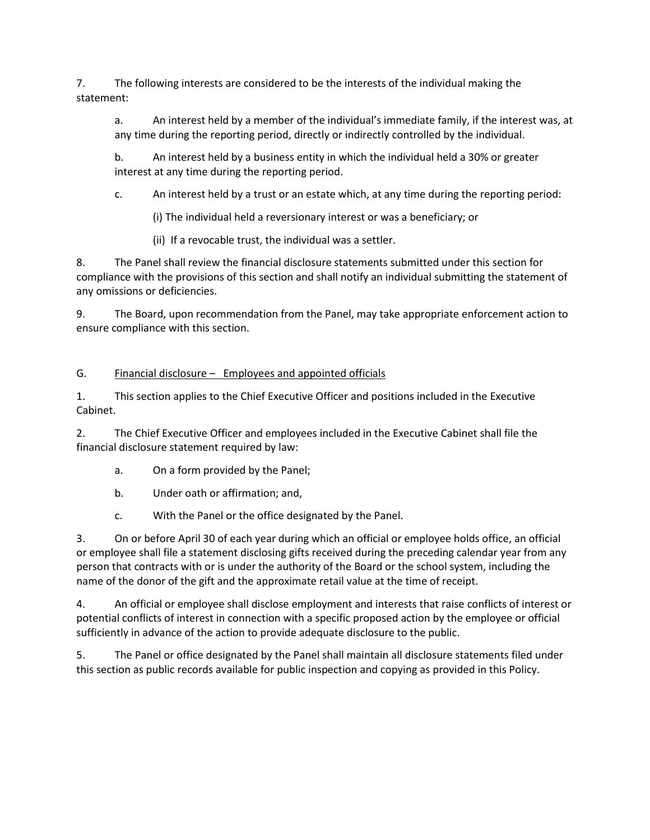7. The following interests are considered to be the interests of the individual making the statement:

a. An interest held by a member of the individual's immediate family, if the interest was, at any time during the reporting period, directly or indirectly controlled by the individual.

b. An interest held by a business entity in which the individual held a 30% or greater interest at any time during the reporting period.

c. An interest held by a trust or an estate which, at any time during the reporting period:

(i) The individual held a reversionary interest or was a beneficiary; or

(ii) If a revocable trust, the individual was a settler.

8. The Panel shall review the financial disclosure statements submitted under this section for compliance with the provisions of this section and shall notify an individual submitting the statement of any omissions or deficiencies.

9. The Board, upon recommendation from the Panel, may take appropriate enforcement action to ensure compliance with this section.

# G. Financial disclosure – Employees and appointed officials

1. This section applies to the Chief Executive Officer and positions included in the Executive Cabinet.

2. The Chief Executive Officer and employees included in the Executive Cabinet shall file the financial disclosure statement required by law:

- a. On a form provided by the Panel;
- b. Under oath or affirmation; and,
- c. With the Panel or the office designated by the Panel.

3. On or before April 30 of each year during which an official or employee holds office, an official or employee shall file a statement disclosing gifts received during the preceding calendar year from any person that contracts with or is under the authority of the Board or the school system, including the name of the donor of the gift and the approximate retail value at the time of receipt.

4. An official or employee shall disclose employment and interests that raise conflicts of interest or potential conflicts of interest in connection with a specific proposed action by the employee or official sufficiently in advance of the action to provide adequate disclosure to the public.

5. The Panel or office designated by the Panel shall maintain all disclosure statements filed under this section as public records available for public inspection and copying as provided in this Policy.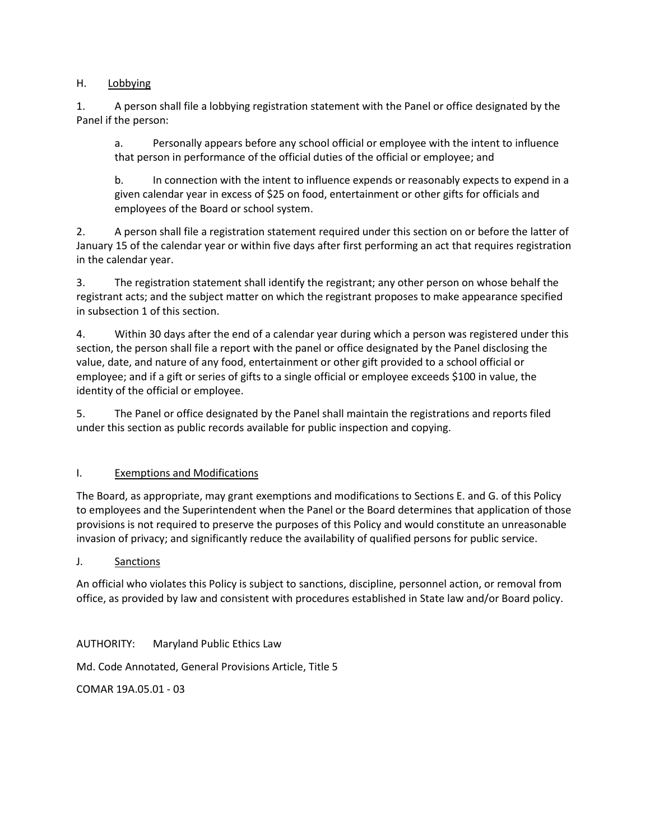## H. Lobbying

1. A person shall file a lobbying registration statement with the Panel or office designated by the Panel if the person:

a. Personally appears before any school official or employee with the intent to influence that person in performance of the official duties of the official or employee; and

b. In connection with the intent to influence expends or reasonably expects to expend in a given calendar year in excess of \$25 on food, entertainment or other gifts for officials and employees of the Board or school system.

2. A person shall file a registration statement required under this section on or before the latter of January 15 of the calendar year or within five days after first performing an act that requires registration in the calendar year.

3. The registration statement shall identify the registrant; any other person on whose behalf the registrant acts; and the subject matter on which the registrant proposes to make appearance specified in subsection 1 of this section.

4. Within 30 days after the end of a calendar year during which a person was registered under this section, the person shall file a report with the panel or office designated by the Panel disclosing the value, date, and nature of any food, entertainment or other gift provided to a school official or employee; and if a gift or series of gifts to a single official or employee exceeds \$100 in value, the identity of the official or employee.

5. The Panel or office designated by the Panel shall maintain the registrations and reports filed under this section as public records available for public inspection and copying.

## I. Exemptions and Modifications

The Board, as appropriate, may grant exemptions and modifications to Sections E. and G. of this Policy to employees and the Superintendent when the Panel or the Board determines that application of those provisions is not required to preserve the purposes of this Policy and would constitute an unreasonable invasion of privacy; and significantly reduce the availability of qualified persons for public service.

## J. Sanctions

An official who violates this Policy is subject to sanctions, discipline, personnel action, or removal from office, as provided by law and consistent with procedures established in State law and/or Board policy.

AUTHORITY: Maryland Public Ethics Law

Md. Code Annotated, General Provisions Article, Title 5

COMAR 19A.05.01 - 03